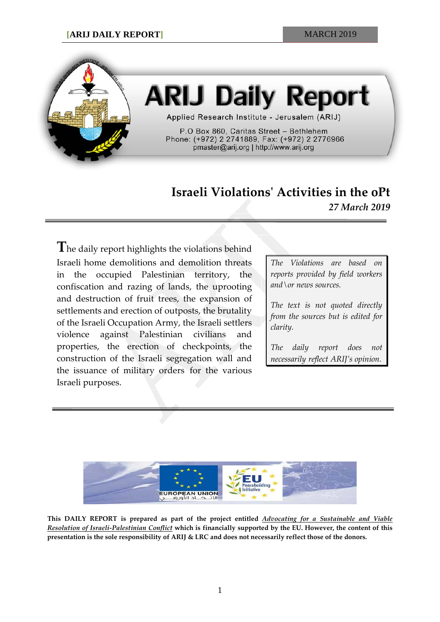

# **ARIJ Daily Report**

Applied Research Institute - Jerusalem (ARIJ)

P.O Box 860, Caritas Street - Bethlehem Phone: (+972) 2 2741889, Fax: (+972) 2 2776966 pmaster@arij.org | http://www.arij.org

## **Israeli Violations' Activities in the oPt** *27 March 2019*

**T**he daily report highlights the violations behind Israeli home demolitions and demolition threats in the occupied Palestinian territory, the confiscation and razing of lands, the uprooting and destruction of fruit trees, the expansion of settlements and erection of outposts, the brutality of the Israeli Occupation Army, the Israeli settlers violence against Palestinian civilians and properties, the erection of checkpoints, the construction of the Israeli segregation wall and the issuance of military orders for the various Israeli purposes.

*The Violations are based on reports provided by field workers and\or news sources.*

*The text is not quoted directly from the sources but is edited for clarity.*

*The daily report does not necessarily reflect ARIJ's opinion.*



**This DAILY REPORT is prepared as part of the project entitled** *Advocating for a Sustainable and Viable Resolution of Israeli-Palestinian Conflict* **which is financially supported by the EU. However, the content of this presentation is the sole responsibility of ARIJ & LRC and does not necessarily reflect those of the donors.**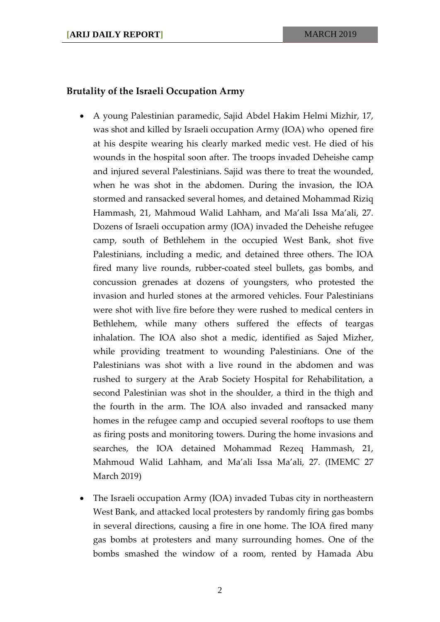#### **Brutality of the Israeli Occupation Army**

- A young Palestinian paramedic, Sajid Abdel Hakim Helmi Mizhir, 17, was shot and killed by Israeli occupation Army (IOA) who opened fire at his despite wearing his clearly marked medic vest. He died of his wounds in the hospital soon after. The troops invaded Deheishe camp and injured several Palestinians. Sajid was there to treat the wounded, when he was shot in the abdomen. During the invasion, the IOA stormed and ransacked several homes, and detained Mohammad Riziq Hammash, 21, Mahmoud Walid Lahham, and Ma'ali Issa Ma'ali, 27. Dozens of Israeli occupation army (IOA) invaded the Deheishe refugee camp, south of Bethlehem in the occupied West Bank, shot five Palestinians, including a medic, and detained three others. The IOA fired many live rounds, rubber-coated steel bullets, gas bombs, and concussion grenades at dozens of youngsters, who protested the invasion and hurled stones at the armored vehicles. Four Palestinians were shot with live fire before they were rushed to medical centers in Bethlehem, while many others suffered the effects of teargas inhalation. The IOA also shot a medic, identified as Sajed Mizher, while providing treatment to wounding Palestinians. One of the Palestinians was shot with a live round in the abdomen and was rushed to surgery at the Arab Society Hospital for Rehabilitation, a second Palestinian was shot in the shoulder, a third in the thigh and the fourth in the arm. The IOA also invaded and ransacked many homes in the refugee camp and occupied several rooftops to use them as firing posts and monitoring towers. During the home invasions and searches, the IOA detained Mohammad Rezeq Hammash, 21, Mahmoud Walid Lahham, and Ma'ali Issa Ma'ali, 27. (IMEMC 27 March 2019)
- The Israeli occupation Army (IOA) invaded Tubas city in northeastern West Bank, and attacked local protesters by randomly firing gas bombs in several directions, causing a fire in one home. The IOA fired many gas bombs at protesters and many surrounding homes. One of the bombs smashed the window of a room, rented by Hamada Abu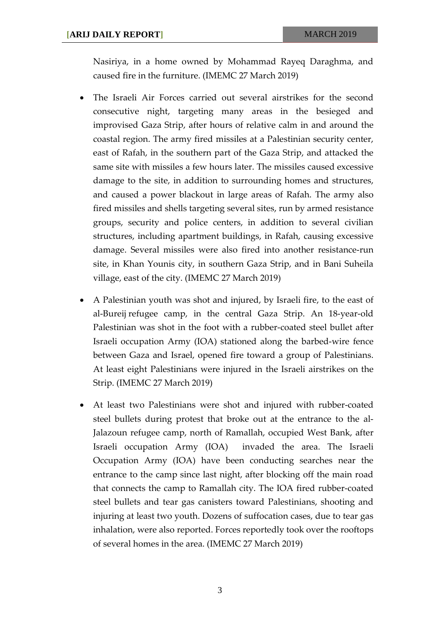Nasiriya, in a home owned by Mohammad Rayeq Daraghma, and caused fire in the furniture. (IMEMC 27 March 2019)

- The Israeli Air Forces carried out several airstrikes for the second consecutive night, targeting many areas in the besieged and improvised Gaza Strip, after hours of relative calm in and around the coastal region. The army fired missiles at a Palestinian security center, east of Rafah, in the southern part of the Gaza Strip, and attacked the same site with missiles a few hours later. The missiles caused excessive damage to the site, in addition to surrounding homes and structures, and caused a power blackout in large areas of Rafah. The army also fired missiles and shells targeting several sites, run by armed resistance groups, security and police centers, in addition to several civilian structures, including apartment buildings, in Rafah, causing excessive damage. Several missiles were also fired into another resistance-run site, in Khan Younis city, in southern Gaza Strip, and in Bani Suheila village, east of the city. (IMEMC 27 March 2019)
- A Palestinian youth was shot and injured, by Israeli fire, to the east of al-Bureij refugee camp, in the central Gaza Strip. An 18-year-old Palestinian was shot in the foot with a rubber-coated steel bullet after Israeli occupation Army (IOA) stationed along the barbed-wire fence between Gaza and Israel, opened fire toward a group of Palestinians. At least eight Palestinians were injured in the Israeli airstrikes on the Strip. (IMEMC 27 March 2019)
- At least two Palestinians were shot and injured with rubber-coated steel bullets during protest that broke out at the entrance to the al-Jalazoun refugee camp, north of Ramallah, occupied West Bank, after Israeli occupation Army (IOA) invaded the area. The Israeli Occupation Army (IOA) have been conducting searches near the entrance to the camp since last night, after blocking off the main road that connects the camp to Ramallah city. The IOA fired rubber-coated steel bullets and tear gas canisters toward Palestinians, shooting and injuring at least two youth. Dozens of suffocation cases, due to tear gas inhalation, were also reported. Forces reportedly took over the rooftops of several homes in the area. (IMEMC 27 March 2019)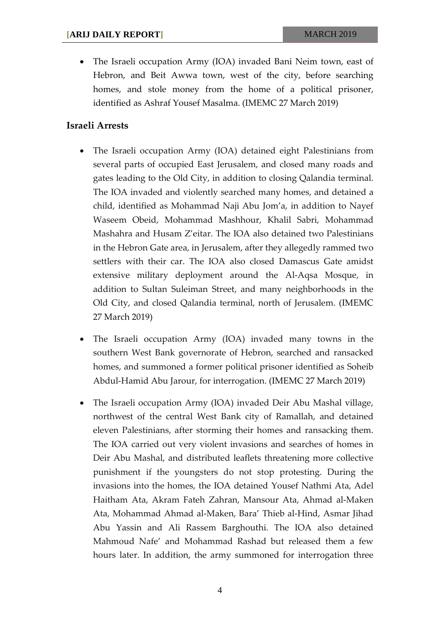• The Israeli occupation Army (IOA) invaded Bani Neim town, east of Hebron, and Beit Awwa town, west of the city, before searching homes, and stole money from the home of a political prisoner, identified as Ashraf Yousef Masalma. (IMEMC 27 March 2019)

#### **Israeli Arrests**

- The Israeli occupation Army (IOA) detained eight Palestinians from several parts of occupied East Jerusalem, and closed many roads and gates leading to the Old City, in addition to closing Qalandia terminal. The IOA invaded and violently searched many homes, and detained a child, identified as Mohammad Naji Abu Jom'a, in addition to Nayef Waseem Obeid, Mohammad Mashhour, Khalil Sabri, Mohammad Mashahra and Husam Z'eitar. The IOA also detained two Palestinians in the Hebron Gate area, in Jerusalem, after they allegedly rammed two settlers with their car. The IOA also closed Damascus Gate amidst extensive military deployment around the Al-Aqsa Mosque, in addition to Sultan Suleiman Street, and many neighborhoods in the Old City, and closed Qalandia terminal, north of Jerusalem. (IMEMC 27 March 2019)
- The Israeli occupation Army (IOA) invaded many towns in the southern West Bank governorate of Hebron, searched and ransacked homes, and summoned a former political prisoner identified as Soheib Abdul-Hamid Abu Jarour, for interrogation. (IMEMC 27 March 2019)
- The Israeli occupation Army (IOA) invaded Deir Abu Mashal village, northwest of the central West Bank city of Ramallah, and detained eleven Palestinians, after storming their homes and ransacking them. The IOA carried out very violent invasions and searches of homes in Deir Abu Mashal, and distributed leaflets threatening more collective punishment if the youngsters do not stop protesting. During the invasions into the homes, the IOA detained Yousef Nathmi Ata, Adel Haitham Ata, Akram Fateh Zahran, Mansour Ata, Ahmad al-Maken Ata, Mohammad Ahmad al-Maken, Bara' Thieb al-Hind, Asmar Jihad Abu Yassin and Ali Rassem Barghouthi. The IOA also detained Mahmoud Nafe' and Mohammad Rashad but released them a few hours later. In addition, the army summoned for interrogation three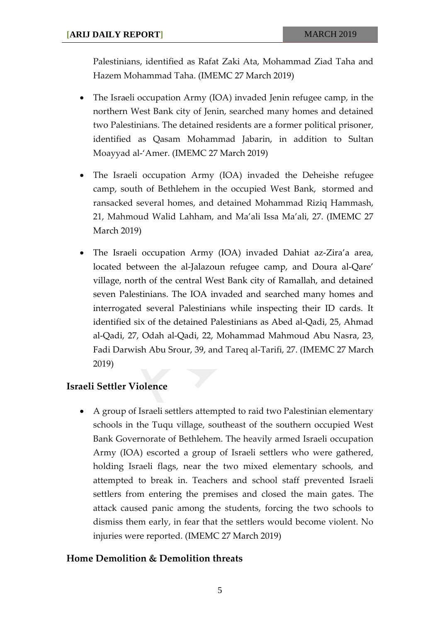Palestinians, identified as Rafat Zaki Ata, Mohammad Ziad Taha and Hazem Mohammad Taha. (IMEMC 27 March 2019)

- The Israeli occupation Army (IOA) invaded Jenin refugee camp, in the northern West Bank city of Jenin, searched many homes and detained two Palestinians. The detained residents are a former political prisoner, identified as Qasam Mohammad Jabarin, in addition to Sultan Moayyad al-'Amer. (IMEMC 27 March 2019)
- The Israeli occupation Army (IOA) invaded the Deheishe refugee camp, south of Bethlehem in the occupied West Bank, stormed and ransacked several homes, and detained Mohammad Riziq Hammash, 21, Mahmoud Walid Lahham, and Ma'ali Issa Ma'ali, 27. (IMEMC 27 March 2019)
- The Israeli occupation Army (IOA) invaded Dahiat az-Zira'a area, located between the al-Jalazoun refugee camp, and Doura al-Qare' village, north of the central West Bank city of Ramallah, and detained seven Palestinians. The IOA invaded and searched many homes and interrogated several Palestinians while inspecting their ID cards. It identified six of the detained Palestinians as Abed al-Qadi, 25, Ahmad al-Qadi, 27, Odah al-Qadi, 22, Mohammad Mahmoud Abu Nasra, 23, Fadi Darwish Abu Srour, 39, and Tareq al-Tarifi, 27. (IMEMC 27 March 2019)

### **Israeli Settler Violence**

• A group of Israeli settlers attempted to raid two Palestinian elementary schools in the Tuqu village, southeast of the southern occupied West Bank Governorate of Bethlehem. The heavily armed Israeli occupation Army (IOA) escorted a group of Israeli settlers who were gathered, holding Israeli flags, near the two mixed elementary schools, and attempted to break in. Teachers and school staff prevented Israeli settlers from entering the premises and closed the main gates. The attack caused panic among the students, forcing the two schools to dismiss them early, in fear that the settlers would become violent. No injuries were reported. (IMEMC 27 March 2019)

#### **Home Demolition & Demolition threats**